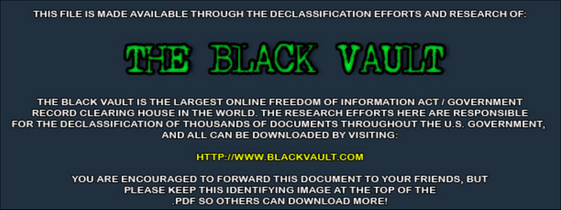THIS FILE IS MADE AVAILABLE THROUGH THE DECLASSIFICATION EFFORTS AND RESEARCH OF:



THE BLACK VAULT IS THE LARGEST ONLINE FREEDOM OF INFORMATION ACT / GOVERNMENT RECORD CLEARING HOUSE IN THE WORLD. THE RESEARCH EFFORTS HERE ARE RESPONSIBLE FOR THE DECLASSIFICATION OF THOUSANDS OF DOCUMENTS THROUGHOUT THE U.S. GOVERNMENT, AND ALL CAN BE DOWNLOADED BY VISITING:

**HTTP://WWW.BLACKVAULT.COM** 

YOU ARE ENCOURAGED TO FORWARD THIS DOCUMENT TO YOUR FRIENDS, BUT PLEASE KEEP THIS IDENTIFYING IMAGE AT THE TOP OF THE PDF SO OTHERS CAN DOWNLOAD MORE!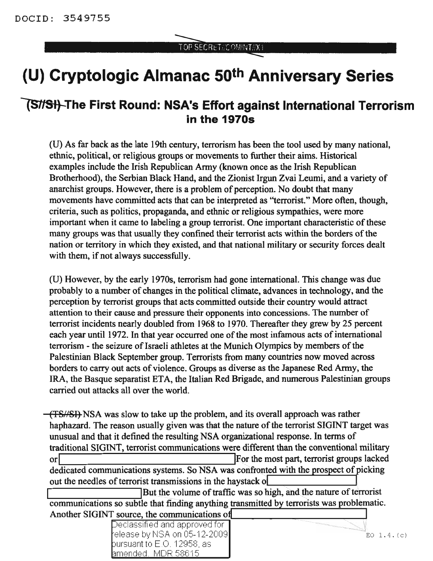## **(U) Cryptologic Almanac 50th Anniversary Series**

## **lS1fst}-The First Round: NSA's Effort against International Terrorism in the 19705**

(U) As far back as the late 19th century, terrorism has been the tool used by many national, ethnic, political, or religious groups or movements to further their aims. Historical examples include the Irish Republican Army (known once as the Irish Republican Brotherhood), the Serbian Black Hand, and the Zionist Irgun Zvai Leumi, and a variety of anarchist groups. However, there is a problem of perception. No doubt that many movements have committed acts that can be interpreted as "terrorist." More often, though, criteria, such as politics, propaganda, and ethnic or religious sympathies, were more important when it came to labeling a group terrorist. One important characteristic of these many groups was that usually they confined their terrorist acts within the borders of the nation or territory in which they existed, and that national military or security forces dealt with them, if not always successfully.

(U) However, by the early 1970s, terrorism had gone international. This change was due probably to a number of changes in the political climate, advances in technology, and the perception by terrorist groups that acts committed outside their country would attract attention to their cause and pressure their opponents into concessions. The number of terrorist incidents nearly doubled from 1968 to 1970. Thereafter they grew by 25 percent each year until 1972. In that year occurred one of the most infamous acts of international terrorism - the seizure of Israeli athletes at the Munich Olympics by members of the Palestinian Black September group. Terrorists from many countries now moved across borders to carry out acts of violence. Groups as diverse as the Japanese Red Army, the IRA, the Basque separatist ETA, the Italian Red Brigade, and numerous Palestinian groups carried out attacks all over the world.

(TSA'8I) NSA was slow to take up the problem, and its overall approach was rather haphazard. The reason usually given was that the nature of the terrorist SIGINT target was unusual and that it defined the resulting NSA organizational response. In terms of traditional SIGINT, terrorist communications were different than the conventional military or dedicated communications systems. So NSA was confronted with the prospect of picking out the needles of terrorist transmissions in the haystack o

But the volume of traffic was so high, and the nature of terrorist communications so subtle that finding anything transmitted by terrorists was problematic. Another SIGINT source, the communications of

| Declassified and approved for |                 |
|-------------------------------|-----------------|
| ∤elease by NSA on 05-12-2009∥ | $EO$ 1.4. $(c)$ |
| bursuant to E.O. 12958, as l  |                 |
| amended. MDR 58615-           |                 |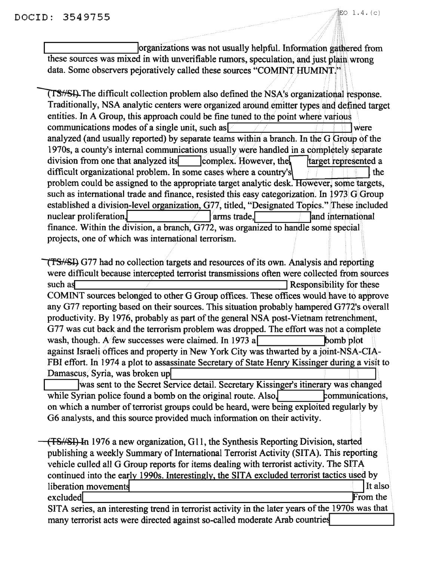organizations was not usually helpful. Information gathered from these sources was mixed in with unverifiable rumors, speculation, and just plain wrong data. Some observers pejoratively called these sources "COMINT HUMINT."

**TS**/SH. The difficult collection problem also defined the NSA's organizational response. Traditionally, NSA analytic centers were organized around emitter types and deftned target entities. In A Group, this approach could be fine tuned to the point where various communications modes of a single unit, such as  $\sqrt{1 + |x|}$  were analyzed (and usually reported) by separate teams within a branch. In the G Group of the 1970s, a county's internal communications usually were handled in a completely separate division from one that analyzed its  $\Box$  complex. However, the target represented a difficult organizational problem. In some cases where a country's  $\sqrt{1 + \frac{1}{\sqrt{1 + \frac{1}{\sqrt{1 + \frac{1}{\sqrt{1 + \frac{1}{\sqrt{1 + \frac{1}{\sqrt{1 + \frac{1}{\sqrt{1 + \frac{1}{\sqrt{1 + \frac{1}{\sqrt{1 + \frac{1}{\sqrt{1 + \frac{1}{\sqrt{1 + \frac{1}{\sqrt{1 + \frac{1}{\sqrt{1 + \frac{1}{\sqrt{1 + \frac{1}{\sqrt{1 + \frac{1}{\sqrt{1$ problem could be assigned to the appropriate target analytic desk. However, some targets, such as international trade and finance, resisted this easy categorization. In 1973 G Group established a division-level organization, G77, titled, "Designated Topics." These included<br>nuclear proliferation, **the act of the Contract Contract of the Contract of Topics** and international finance. Within the division, a branch, G772, was organized to handle some special projects, one of which was international terrorism.

(TSHSI) G77 had no collection targets and resources of its own. Analysis and reporting were difficult because intercepted terrorist transmissions often Were collected from sources such as  $\blacksquare$ COMINT sources belonged to other G Group offices. These offices would have to approve any G77 reporting based on their sources. This situation probably hampered G772's overall productivity. By 1976, probably as part of the general NSA post-Vietnam retrenchment, G77 was cut back and the terrorism problem was dropped. The effort was not a complete wash, though. A few successes were claimed. In 1973 a against Israeli offices and property in New York City was thwarted by ajoint-NSA-CIA-FBI effort. In 1974 a plot to assassinate Secretary of State Henry Kissinger during a visit to Damascus, Syria, was broken up

was sent to the Secret Service detail. Secretary Kissinger's itinerary was changed while Syrian police found a bomb on the original route. Also,  $\blacksquare$   $\blacksquare$   $\blacksquare$   $\blacksquare$   $\blacksquare$   $\blacksquare$ on which a number of terrorist groups could be heard, were being exploited regularly by G6 analysts, and this source provided much information on their activity.

(T8NSI) In 1976 a new organization, GIl, the Synthesis Reporting Division, started publishing a weekly Summary of International Terrorist Activity (SITA). This reporting vehicle culled all G Group reports for items dealing with terrorist activity. The SITA continued into the early 1990s. Interestingly, the SITA excluded terrorist tactics used by  $l$  liberation movements  $l$  It also  $l$ excluded From the contract of the contract of the contract of the contract of the contract of the contract of the contract of the contract of the contract of the contract of the contract of the contract of the contract of SITA series, an interesting trend in terrorist activity in the later years of the 1970s was that many terrorist acts were directed against so-called moderate Arab countries